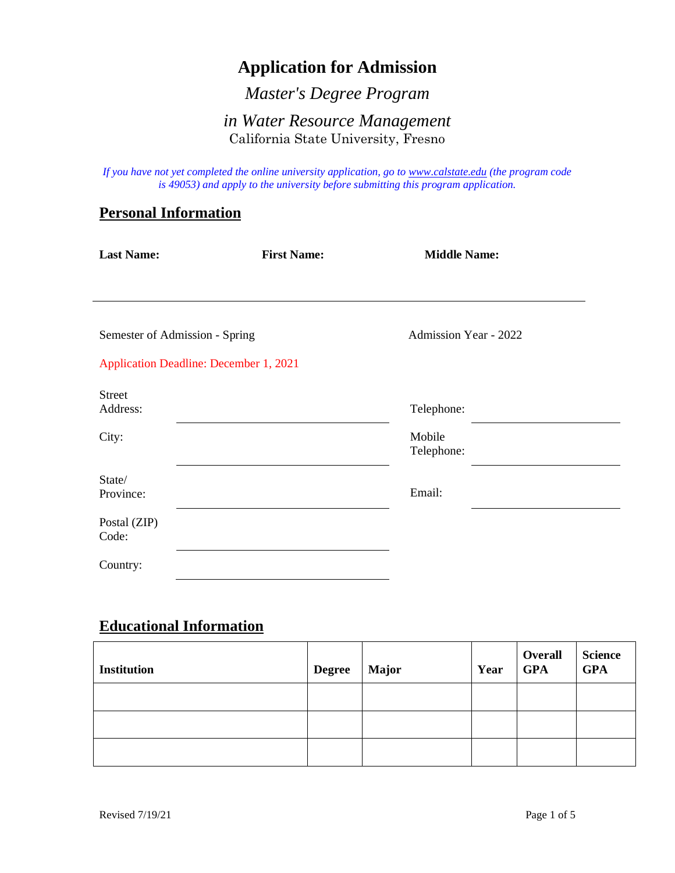# **Application for Admission**

*Master's Degree Program* 

## *in Water Resource Management* California State University, Fresno

*If you have not yet completed the online university application, go to [www.calstate.edu](http://www.calstate.edu/) (the program code is 49053) and apply to the university before submitting this program application.*

#### **Personal Information**

| <b>Last Name:</b>                             | <b>First Name:</b> | <b>Middle Name:</b>          |
|-----------------------------------------------|--------------------|------------------------------|
|                                               |                    |                              |
|                                               |                    |                              |
| Semester of Admission - Spring                |                    | <b>Admission Year - 2022</b> |
| <b>Application Deadline: December 1, 2021</b> |                    |                              |
| <b>Street</b>                                 |                    |                              |
| Address:                                      |                    | Telephone:                   |
| City:                                         |                    | Mobile                       |
|                                               |                    | Telephone:                   |
| State/                                        |                    |                              |
| Province:                                     |                    | Email:                       |
| Postal (ZIP)<br>Code:                         |                    |                              |
| Country:                                      |                    |                              |

### **Educational Information**

| <b>Institution</b> | <b>Degree</b> | <b>Major</b> | Year | Overall<br><b>GPA</b> | <b>Science</b><br><b>GPA</b> |
|--------------------|---------------|--------------|------|-----------------------|------------------------------|
|                    |               |              |      |                       |                              |
|                    |               |              |      |                       |                              |
|                    |               |              |      |                       |                              |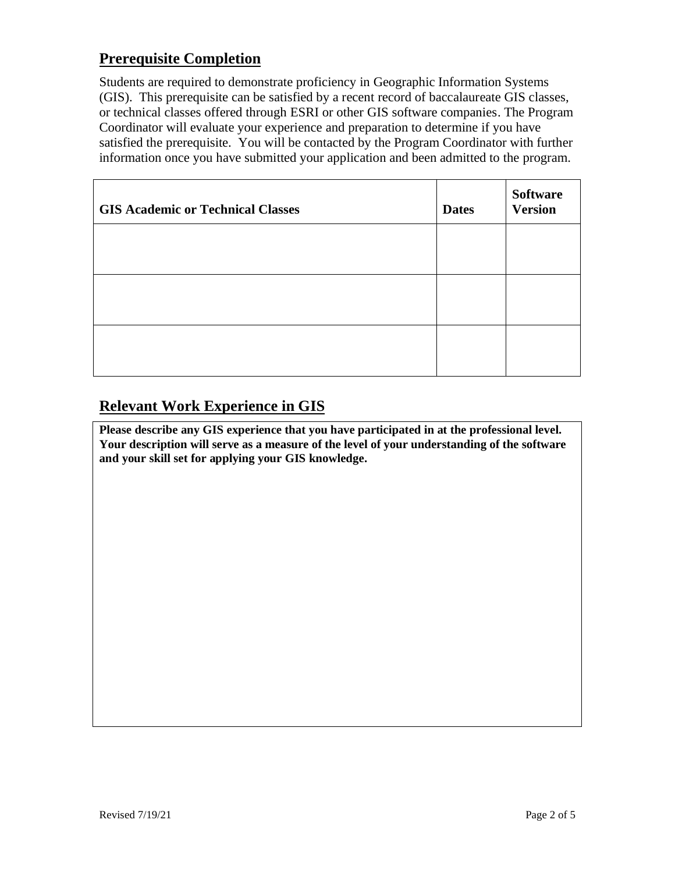# **Prerequisite Completion**

Students are required to demonstrate proficiency in Geographic Information Systems (GIS). This prerequisite can be satisfied by a recent record of baccalaureate GIS classes, or technical classes offered through ESRI or other GIS software companies. The Program Coordinator will evaluate your experience and preparation to determine if you have satisfied the prerequisite. You will be contacted by the Program Coordinator with further information once you have submitted your application and been admitted to the program.

| <b>GIS Academic or Technical Classes</b> | <b>Dates</b> | <b>Software</b><br><b>Version</b> |
|------------------------------------------|--------------|-----------------------------------|
|                                          |              |                                   |
|                                          |              |                                   |
|                                          |              |                                   |

# **Relevant Work Experience in GIS**

**Please describe any GIS experience that you have participated in at the professional level. Your description will serve as a measure of the level of your understanding of the software and your skill set for applying your GIS knowledge.**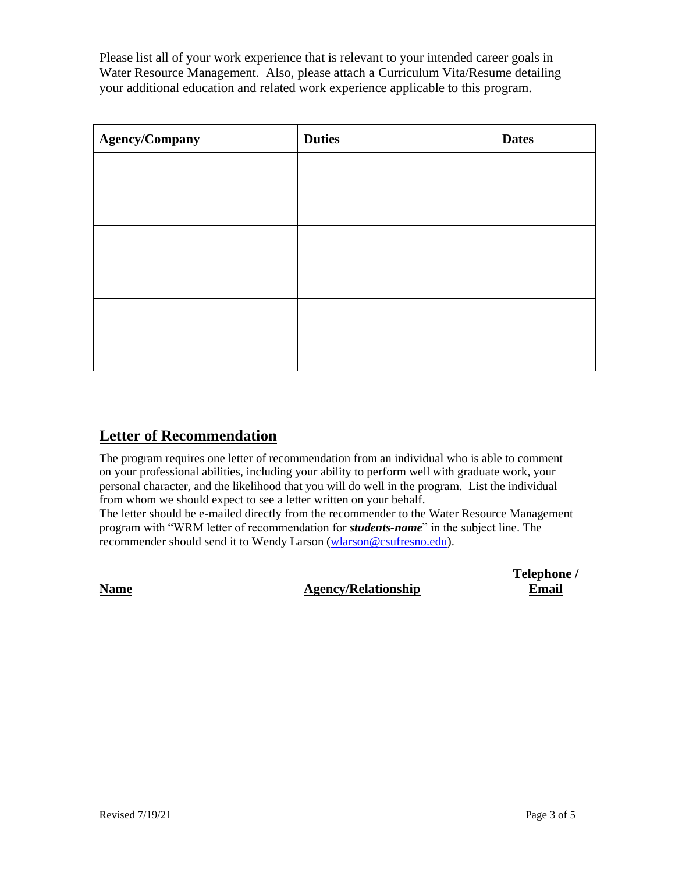Please list all of your work experience that is relevant to your intended career goals in Water Resource Management. Also, please attach a Curriculum Vita/Resume detailing your additional education and related work experience applicable to this program.

| <b>Agency/Company</b> | <b>Duties</b> | <b>Dates</b> |
|-----------------------|---------------|--------------|
|                       |               |              |
|                       |               |              |
|                       |               |              |
|                       |               |              |
|                       |               |              |
|                       |               |              |
|                       |               |              |

## **Letter of Recommendation**

The program requires one letter of recommendation from an individual who is able to comment on your professional abilities, including your ability to perform well with graduate work, your personal character, and the likelihood that you will do well in the program. List the individual from whom we should expect to see a letter written on your behalf.

The letter should be e-mailed directly from the recommender to the Water Resource Management program with "WRM letter of recommendation for *students-name*" in the subject line. The recommender should send it to Wendy Larson [\(wlarson@csufresno.edu\)](mailto:wlarson@csufresno.edu).

**Name Agency/Relationship**

**Telephone / Email**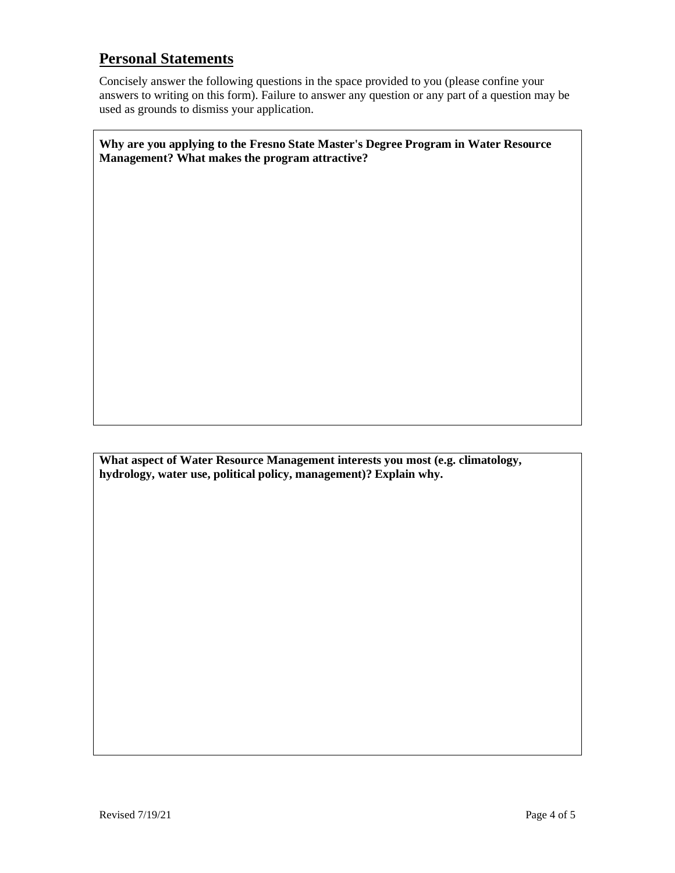## **Personal Statements**

Concisely answer the following questions in the space provided to you (please confine your answers to writing on this form). Failure to answer any question or any part of a question may be used as grounds to dismiss your application.

**Why are you applying to the Fresno State Master's Degree Program in Water Resource Management? What makes the program attractive?**

**What aspect of Water Resource Management interests you most (e.g. climatology, hydrology, water use, political policy, management)? Explain why.**